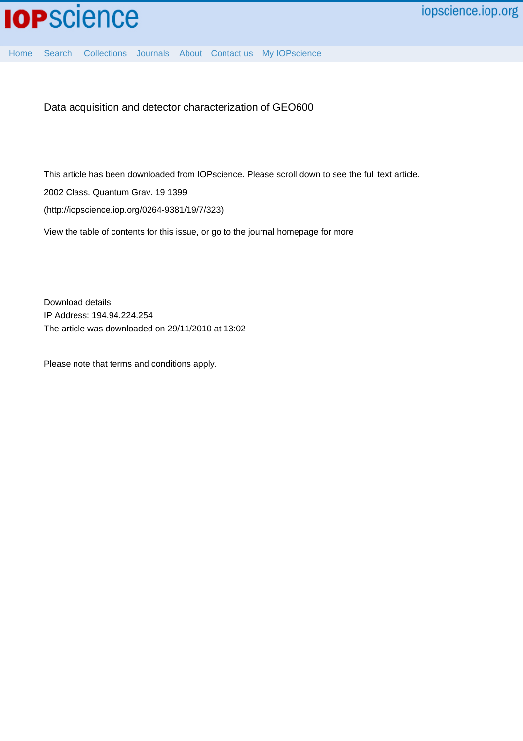

Data acquisition and detector characterization of GEO600

This article has been downloaded from IOPscience. Please scroll down to see the full text article.

2002 Class. Quantum Grav. 19 1399

(http://iopscience.iop.org/0264-9381/19/7/323)

View [the table of contents for this issue](http://iopscience.iop.org/0264-9381/19/7), or go to the [journal homepage](http://iopscience.iop.org/0264-9381) for more

Download details: IP Address: 194.94.224.254 The article was downloaded on 29/11/2010 at 13:02

Please note that [terms and conditions apply.](http://iopscience.iop.org/page/terms)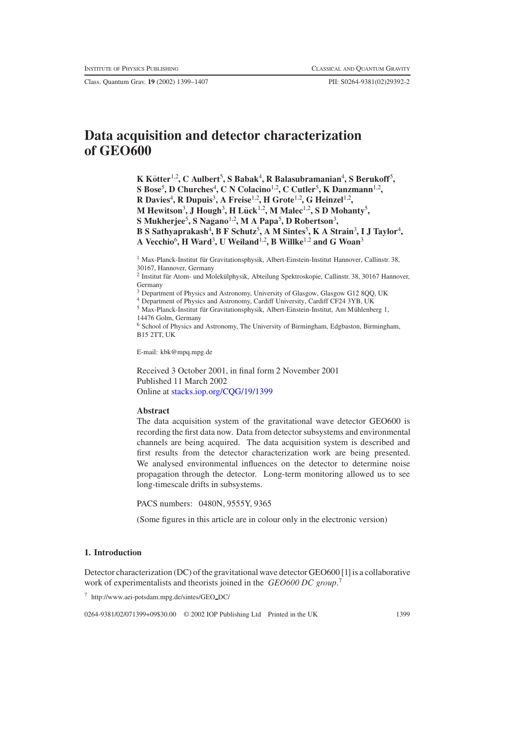Class. Quantum Grav. **19** (2002) 1399–1407 PII: S0264-9381(02)29392-2

# **Data acquisition and detector characterization of GEO600**

**K Kotter ¨** 1,2**, C Aulbert**<sup>5</sup> **, S Babak**<sup>4</sup> **, R Balasubramanian**<sup>4</sup> **, S Berukoff**<sup>5</sup> **, S Bose**<sup>5</sup> **, D Churches**<sup>4</sup> **, C N Colacino**1,2**, C Cutler**<sup>5</sup> **, K Danzmann**1,2**, R Davies**<sup>4</sup> **, R Dupuis**<sup>3</sup> **, A Freise**1,2**, H Grote**1,2**, G Heinzel**1,2**, M** Hewitson<sup>3</sup>, J Hough<sup>3</sup>, H Lück<sup>1,2</sup>, M Malec<sup>1,2</sup>, S D Mohanty<sup>5</sup>, **S Mukherjee**<sup>5</sup> **, S Nagano**1,2**, M A Papa**<sup>5</sup> **, D Robertson**<sup>3</sup> **, B S Sathyaprakash**<sup>4</sup> **, B F Schutz**<sup>5</sup> **, A M Sintes**<sup>5</sup> **, K A Strain**<sup>3</sup> **, I J Taylor**<sup>4</sup> **, A Vecchio**<sup>6</sup> **, H Ward**<sup>3</sup> **, U Weiland**1,2**, B Willke**1,2 **and G Woan**<sup>3</sup>

<sup>1</sup> Max-Planck-Institut für Gravitationsphysik, Albert-Einstein-Institut Hannover, Callinstr. 38, 30167, Hannover, Germany

 $2$  Institut für Atom- und Molekülphysik, Abteilung Spektroskopie, Callinstr. 38, 30167 Hannover, Germany

<sup>3</sup> Department of Physics and Astronomy, University of Glasgow, Glasgow G12 8QQ, UK

<sup>4</sup> Department of Physics and Astronomy, Cardiff University, Cardiff CF24 3YB, UK

 $^5$  Max-Planck-Institut für Gravitationsphysik, Albert-Einstein-Institut, Am Mühlenberg 1, 14476 Golm, Germany

<sup>6</sup> School of Physics and Astronomy, The University of Birmingham, Edgbaston, Birmingham, B15 2TT, UK

E-mail: kbk@mpq.mpg.de

Received 3 October 2001, in final form 2 November 2001 Published 11 March 2002 Online at [stacks.iop.org/CQG/19/1399](http://stacks.iop.org/cq/19/1399)

## **Abstract**

The data acquisition system of the gravitational wave detector GEO600 is recording the first data now. Data from detector subsystems and environmental channels are being acquired. The data acquisition system is described and first results from the detector characterization work are being presented. We analysed environmental influences on the detector to determine noise propagation through the detector. Long-term monitoring allowed us to see long-timescale drifts in subsystems.

PACS numbers: 0480N, 9555Y, 9365

(Some figures in this article are in colour only in the electronic version)

# **1. Introduction**

Detector characterization (DC) of the gravitational wave detector GEO600 [1] is a collaborative work of experimentalists and theorists joined in the *GEO600 DC group*. 7

<sup>7</sup> http://www.aei-potsdam.mpg.de/sintes/GEO DC/

0264-9381/02/071399+09\$30.00 © 2002 IOP Publishing Ltd Printed in the UK 1399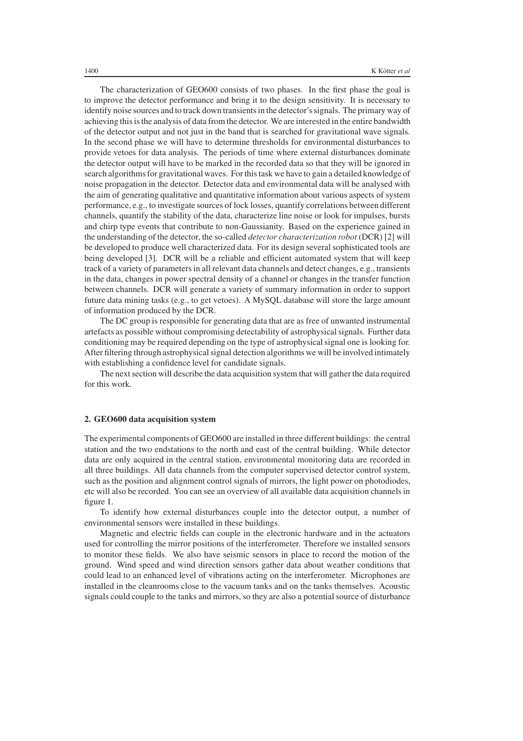The characterization of GEO600 consists of two phases. In the first phase the goal is to improve the detector performance and bring it to the design sensitivity. It is necessary to identify noise sources and to track down transients in the detector's signals. The primary way of achieving this is the analysis of data from the detector. We are interested in the entire bandwidth of the detector output and not just in the band that is searched for gravitational wave signals. In the second phase we will have to determine thresholds for environmental disturbances to provide vetoes for data analysis. The periods of time where external disturbances dominate the detector output will have to be marked in the recorded data so that they will be ignored in search algorithms for gravitational waves. For this task we have to gain a detailed knowledge of noise propagation in the detector. Detector data and environmental data will be analysed with the aim of generating qualitative and quantitative information about various aspects of system performance, e.g., to investigate sources of lock losses, quantify correlations between different channels, quantify the stability of the data, characterize line noise or look for impulses, bursts and chirp type events that contribute to non-Gaussianity. Based on the experience gained in the understanding of the detector, the so-called *detector characterization robot* (DCR) [2] will be developed to produce well characterized data. For its design several sophisticated tools are being developed [3]. DCR will be a reliable and efficient automated system that will keep track of a variety of parameters in all relevant data channels and detect changes, e.g., transients in the data, changes in power spectral density of a channel or changes in the transfer function between channels. DCR will generate a variety of summary information in order to support future data mining tasks (e.g., to get vetoes). A MySQL database will store the large amount of information produced by the DCR.

The DC group is responsible for generating data that are as free of unwanted instrumental artefacts as possible without compromising detectability of astrophysical signals. Further data conditioning may be required depending on the type of astrophysical signal one is looking for. After filtering through astrophysical signal detection algorithms we will be involved intimately with establishing a confidence level for candidate signals.

The next section will describe the data acquisition system that will gather the data required for this work.

## **2. GEO600 data acquisition system**

The experimental components of GEO600 are installed in three different buildings: the central station and the two endstations to the north and east of the central building. While detector data are only acquired in the central station, environmental monitoring data are recorded in all three buildings. All data channels from the computer supervised detector control system, such as the position and alignment control signals of mirrors, the light power on photodiodes, etc will also be recorded. You can see an overview of all available data acquisition channels in figure [1.](#page-3-0)

To identify how external disturbances couple into the detector output, a number of environmental sensors were installed in these buildings.

Magnetic and electric fields can couple in the electronic hardware and in the actuators used for controlling the mirror positions of the interferometer. Therefore we installed sensors to monitor these fields. We also have seismic sensors in place to record the motion of the ground. Wind speed and wind direction sensors gather data about weather conditions that could lead to an enhanced level of vibrations acting on the interferometer. Microphones are installed in the cleanrooms close to the vacuum tanks and on the tanks themselves. Acoustic signals could couple to the tanks and mirrors, so they are also a potential source of disturbance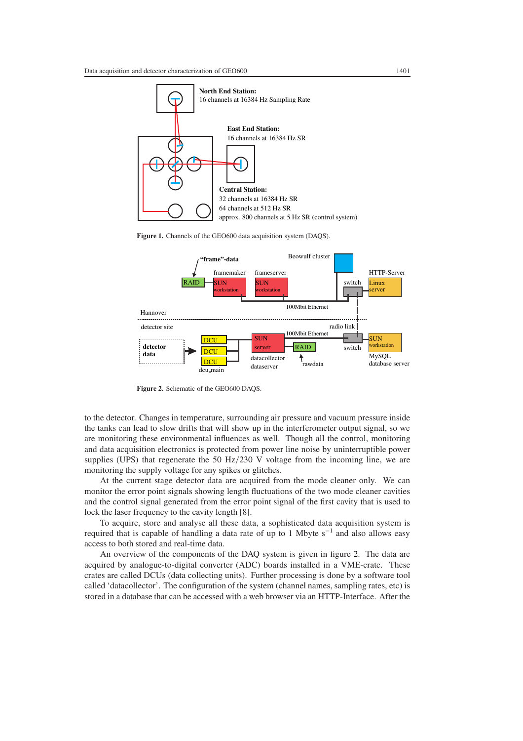

**Figure 1.** Channels of the GEO600 data acquisition system (DAQS).

<span id="page-3-0"></span>

**Figure 2.** Schematic of the GEO600 DAQS.

<span id="page-3-1"></span>to the detector. Changes in temperature, surrounding air pressure and vacuum pressure inside the tanks can lead to slow drifts that will show up in the interferometer output signal, so we are monitoring these environmental influences as well. Though all the control, monitoring and data acquisition electronics is protected from power line noise by uninterruptible power supplies (UPS) that regenerate the 50 Hz*/*230 V voltage from the incoming line, we are monitoring the supply voltage for any spikes or glitches.

At the current stage detector data are acquired from the mode cleaner only. We can monitor the error point signals showing length fluctuations of the two mode cleaner cavities and the control signal generated from the error point signal of the first cavity that is used to lock the laser frequency to the cavity length [8].

To acquire, store and analyse all these data, a sophisticated data acquisition system is required that is capable of handling a data rate of up to 1 Mbyte s<sup> $-1$ </sup> and also allows easy access to both stored and real-time data.

An overview of the components of the DAQ system is given in figure [2.](#page-3-1) The data are acquired by analogue-to-digital converter (ADC) boards installed in a VME-crate. These crates are called DCUs (data collecting units). Further processing is done by a software tool called 'datacollector'. The configuration of the system (channel names, sampling rates, etc) is stored in a database that can be accessed with a web browser via an HTTP-Interface. After the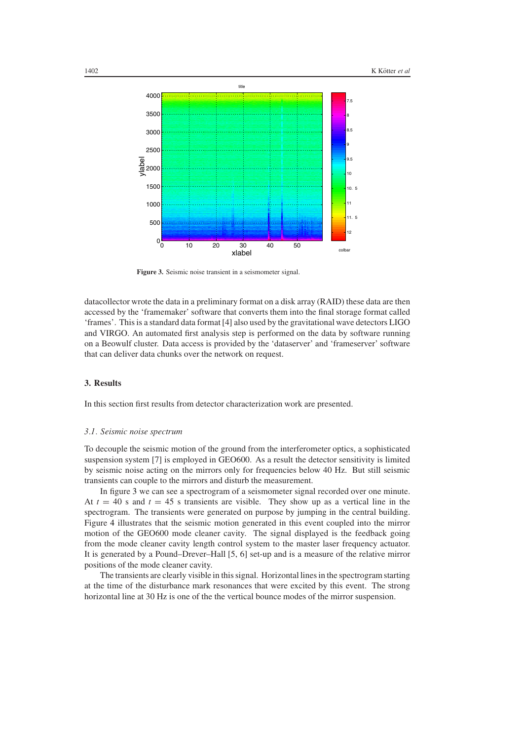

**Figure 3.** Seismic noise transient in a seismometer signal.

<span id="page-4-0"></span>datacollector wrote the data in a preliminary format on a disk array (RAID) these data are then accessed by the 'framemaker' software that converts them into the final storage format called 'frames'. This is a standard data format [4] also used by the gravitational wave detectors LIGO and VIRGO. An automated first analysis step is performed on the data by software running on a Beowulf cluster. Data access is provided by the 'dataserver' and 'frameserver' software that can deliver data chunks over the network on request.

## **3. Results**

In this section first results from detector characterization work are presented.

#### *3.1. Seismic noise spectrum*

To decouple the seismic motion of the ground from the interferometer optics, a sophisticated suspension system [7] is employed in GEO600. As a result the detector sensitivity is limited by seismic noise acting on the mirrors only for frequencies below 40 Hz. But still seismic transients can couple to the mirrors and disturb the measurement.

In figure [3](#page-4-0) we can see a spectrogram of a seismometer signal recorded over one minute. At  $t = 40$  s and  $t = 45$  s transients are visible. They show up as a vertical line in the spectrogram. The transients were generated on purpose by jumping in the central building. Figure [4](#page-5-0) illustrates that the seismic motion generated in this event coupled into the mirror motion of the GEO600 mode cleaner cavity. The signal displayed is the feedback going from the mode cleaner cavity length control system to the master laser frequency actuator. It is generated by a Pound–Drever–Hall [5, 6] set-up and is a measure of the relative mirror positions of the mode cleaner cavity.

The transients are clearly visible in this signal. Horizontal lines in the spectrogram starting at the time of the disturbance mark resonances that were excited by this event. The strong horizontal line at 30 Hz is one of the the vertical bounce modes of the mirror suspension.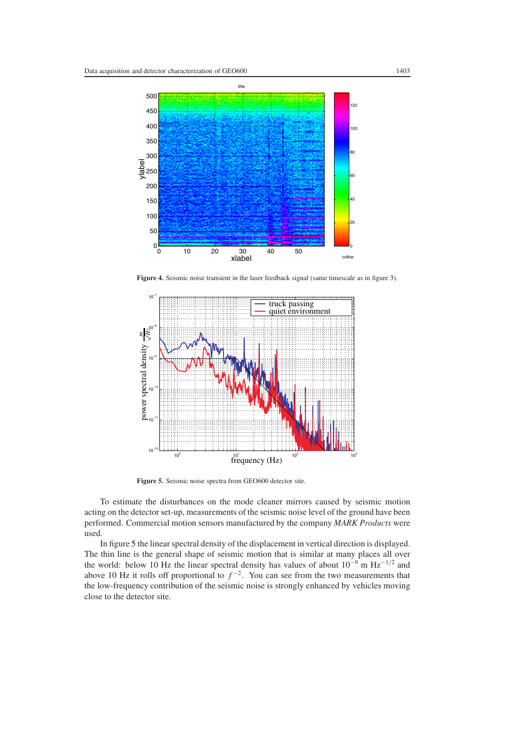

**Figure 4.** Seismic noise transient in the laser feedback signal (same timescale as in figure [3\)](#page-4-0).

<span id="page-5-0"></span>

**Figure 5.** Seismic noise spectra from GEO600 detector site.

<span id="page-5-1"></span>To estimate the disturbances on the mode cleaner mirrors caused by seismic motion acting on the detector set-up, measurements of the seismic noise level of the ground have been performed. Commercial motion sensors manufactured by the company *MARK Products* were used.

In figure [5](#page-5-1) the linear spectral density of the displacement in vertical direction is displayed. The thin line is the general shape of seismic motion that is similar at many places all over the world: below 10 Hz the linear spectral density has values of about 10−<sup>9</sup> m Hz−1*/*<sup>2</sup> and above 10 Hz it rolls off proportional to  $f^{-2}$ . You can see from the two measurements that the low-frequency contribution of the seismic noise is strongly enhanced by vehicles moving close to the detector site.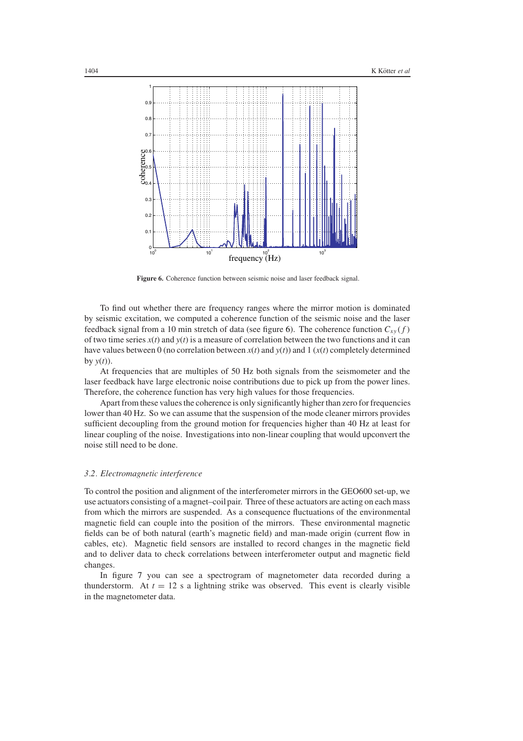

**Figure 6.** Coherence function between seismic noise and laser feedback signal.

<span id="page-6-0"></span>To find out whether there are frequency ranges where the mirror motion is dominated by seismic excitation, we computed a coherence function of the seismic noise and the laser feedback signal from a 10 min stretch of data (see figure [6\)](#page-6-0). The coherence function  $C_{xy}(f)$ of two time series  $x(t)$  and  $y(t)$  is a measure of correlation between the two functions and it can have values between 0 (no correlation between  $x(t)$  and  $y(t)$ ) and 1 ( $x(t)$  completely determined by  $y(t)$ ).

At frequencies that are multiples of 50 Hz both signals from the seismometer and the laser feedback have large electronic noise contributions due to pick up from the power lines. Therefore, the coherence function has very high values for those frequencies.

Apart from these values the coherence is only significantly higher than zero for frequencies lower than 40 Hz. So we can assume that the suspension of the mode cleaner mirrors provides sufficient decoupling from the ground motion for frequencies higher than 40 Hz at least for linear coupling of the noise. Investigations into non-linear coupling that would upconvert the noise still need to be done.

#### *3.2. Electromagnetic interference*

To control the position and alignment of the interferometer mirrors in the GEO600 set-up, we use actuators consisting of a magnet–coil pair. Three of these actuators are acting on each mass from which the mirrors are suspended. As a consequence fluctuations of the environmental magnetic field can couple into the position of the mirrors. These environmental magnetic fields can be of both natural (earth's magnetic field) and man-made origin (current flow in cables, etc). Magnetic field sensors are installed to record changes in the magnetic field and to deliver data to check correlations between interferometer output and magnetic field changes.

In figure [7](#page-7-0) you can see a spectrogram of magnetometer data recorded during a thunderstorm. At  $t = 12$  s a lightning strike was observed. This event is clearly visible in the magnetometer data.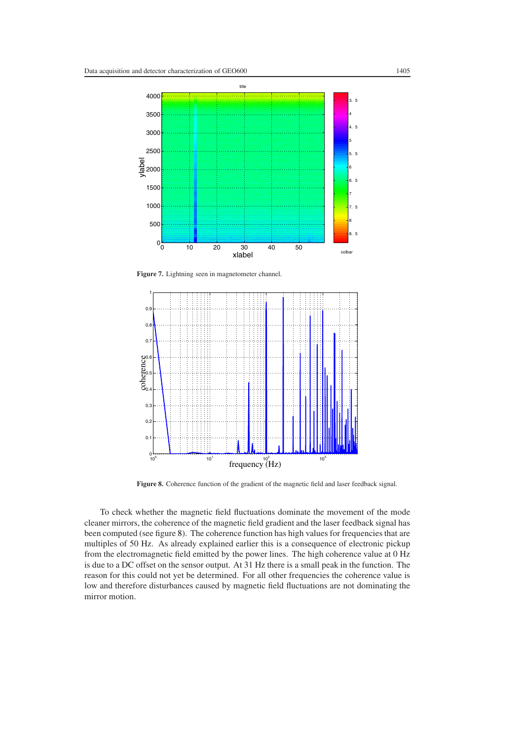

Figure 7. Lightning seen in magnetometer channel.

<span id="page-7-0"></span>

**Figure 8.** Coherence function of the gradient of the magnetic field and laser feedback signal.

<span id="page-7-1"></span>To check whether the magnetic field fluctuations dominate the movement of the mode cleaner mirrors, the coherence of the magnetic field gradient and the laser feedback signal has been computed (see figure [8\)](#page-7-1). The coherence function has high values for frequencies that are multiples of 50 Hz. As already explained earlier this is a consequence of electronic pickup from the electromagnetic field emitted by the power lines. The high coherence value at 0 Hz is due to a DC offset on the sensor output. At 31 Hz there is a small peak in the function. The reason for this could not yet be determined. For all other frequencies the coherence value is low and therefore disturbances caused by magnetic field fluctuations are not dominating the mirror motion.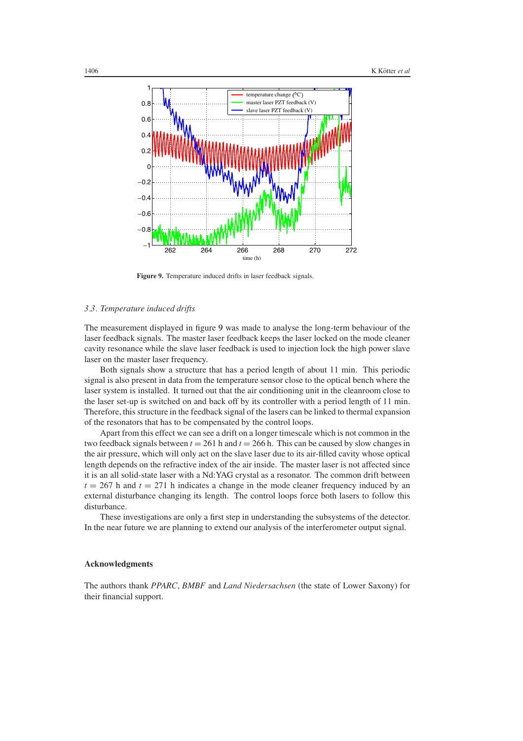

**Figure 9.** Temperature induced drifts in laser feedback signals.

## <span id="page-8-0"></span>*3.3. Temperature induced drifts*

The measurement displayed in figure [9](#page-8-0) was made to analyse the long-term behaviour of the laser feedback signals. The master laser feedback keeps the laser locked on the mode cleaner cavity resonance while the slave laser feedback is used to injection lock the high power slave laser on the master laser frequency.

Both signals show a structure that has a period length of about 11 min. This periodic signal is also present in data from the temperature sensor close to the optical bench where the laser system is installed. It turned out that the air conditioning unit in the cleanroom close to the laser set-up is switched on and back off by its controller with a period length of 11 min. Therefore, this structure in the feedback signal of the lasers can be linked to thermal expansion of the resonators that has to be compensated by the control loops.

Apart from this effect we can see a drift on a longer timescale which is not common in the two feedback signals between  $t = 261$  h and  $t = 266$  h. This can be caused by slow changes in the air pressure, which will only act on the slave laser due to its air-filled cavity whose optical length depends on the refractive index of the air inside. The master laser is not affected since it is an all solid-state laser with a Nd:YAG crystal as a resonator. The common drift between  $t = 267$  h and  $t = 271$  h indicates a change in the mode cleaner frequency induced by an external disturbance changing its length. The control loops force both lasers to follow this disturbance.

These investigations are only a first step in understanding the subsystems of the detector. In the near future we are planning to extend our analysis of the interferometer output signal.

## **Acknowledgments**

The authors thank *PPARC*, *BMBF* and *Land Niedersachsen* (the state of Lower Saxony) for their financial support.